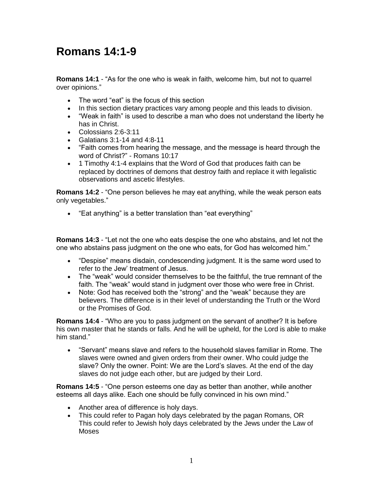## **Romans 14:1-9**

**Romans 14:1** - "As for the one who is weak in faith, welcome him, but not to quarrel over opinions."

- The word "eat" is the focus of this section
- In this section dietary practices vary among people and this leads to division.
- "Weak in faith" is used to describe a man who does not understand the liberty he has in Christ.
- Colossians 2:6-3:11
- Galatians  $3:1-14$  and  $4:8-11$
- "Faith comes from hearing the message, and the message is heard through the word of Christ?" - Romans 10:17
- 1 Timothy 4:1-4 explains that the Word of God that produces faith can be replaced by doctrines of demons that destroy faith and replace it with legalistic observations and ascetic lifestyles.

**Romans 14:2** - "One person believes he may eat anything, while the weak person eats only vegetables."

"Eat anything" is a better translation than "eat everything"

**Romans 14:3** - "Let not the one who eats despise the one who abstains, and let not the one who abstains pass judgment on the one who eats, for God has welcomed him."

- "Despise" means disdain, condescending judgment. It is the same word used to refer to the Jew' treatment of Jesus.
- The "weak" would consider themselves to be the faithful, the true remnant of the faith. The "weak" would stand in judgment over those who were free in Christ.
- Note: God has received both the "strong" and the "weak" because they are believers. The difference is in their level of understanding the Truth or the Word or the Promises of God.

**Romans 14:4** - "Who are you to pass judgment on the servant of another? It is before his own master that he stands or falls. And he will be upheld, for the Lord is able to make him stand."

 "Servant" means slave and refers to the household slaves familiar in Rome. The slaves were owned and given orders from their owner. Who could judge the slave? Only the owner. Point: We are the Lord's slaves. At the end of the day slaves do not judge each other, but are judged by their Lord.

**Romans 14:5** - "One person esteems one day as better than another, while another esteems all days alike. Each one should be fully convinced in his own mind."

- Another area of difference is holy days.
- This could refer to Pagan holy days celebrated by the pagan Romans, OR This could refer to Jewish holy days celebrated by the Jews under the Law of Moses